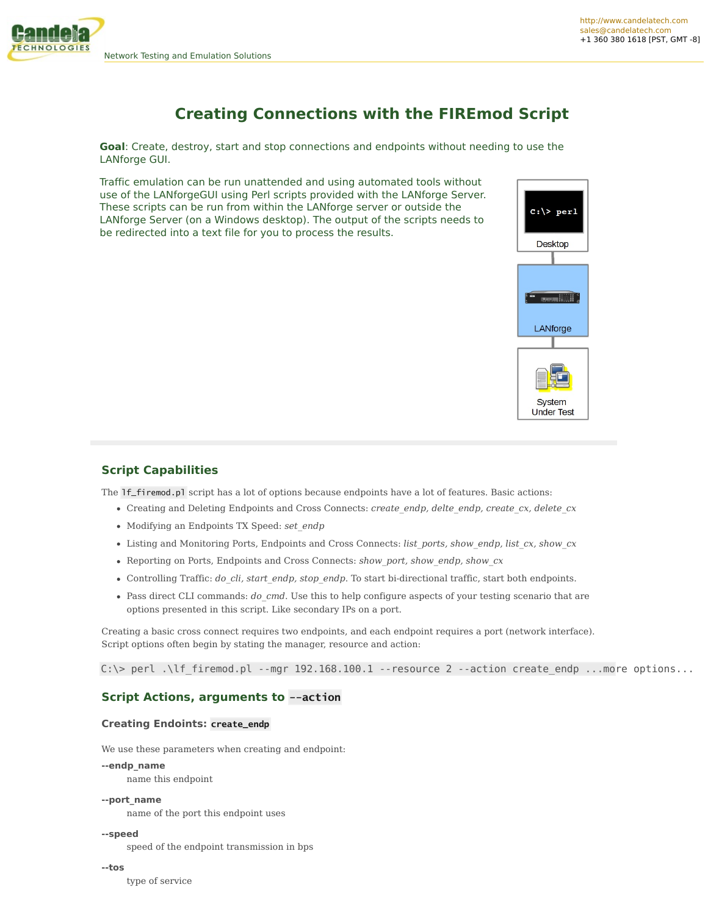

# **Creating Connections with the FIREmod Script**

**Goal**: Create, destroy, start and stop connections and endpoints without needing to use the LANforge GUI.

Traffic emulation can be run unattended and using automated tools without use of the LANforgeGUI using Perl scripts provided with the LANforge Server. These scripts can be run from within the LANforge server or outside the LANforge Server (on a Windows desktop). The output of the scripts needs to be redirected into a text file for you to process the results.



# **Script Capabilities**

The lf\_firemod.pl script has a lot of options because endpoints have a lot of features. Basic actions:

- Creating and Deleting Endpoints and Cross Connects: *create\_endp, delte\_endp, create\_cx, delete\_cx*
- Modifying an Endpoints TX Speed: *set\_endp*
- Listing and Monitoring Ports, Endpoints and Cross Connects: *list\_ports, show\_endp, list\_cx, show\_cx*
- Reporting on Ports, Endpoints and Cross Connects: *show\_port, show\_endp, show\_cx*
- Controlling Traffic: *do\_cli, start\_endp, stop\_endp*. To start bi-directional traffic, start both endpoints.
- Pass direct CLI commands: *do\_cmd*. Use this to help configure aspects of your testing scenario that are options presented in this script. Like secondary IPs on a port.

Creating a basic cross connect requires two endpoints, and each endpoint requires a port (network interface). Script options often begin by stating the manager, resource and action:

C:\> perl .\lf firemod.pl --mgr 192.168.100.1 --resource 2 --action create endp ...more options...

# **Script Actions, arguments to --action**

### **Creating Endoints: create\_endp**

We use these parameters when creating and endpoint:

**--endp\_name**

name this endpoint

**--port\_name**

name of the port this endpoint uses

#### **--speed**

speed of the endpoint transmission in bps

**--tos**

type of service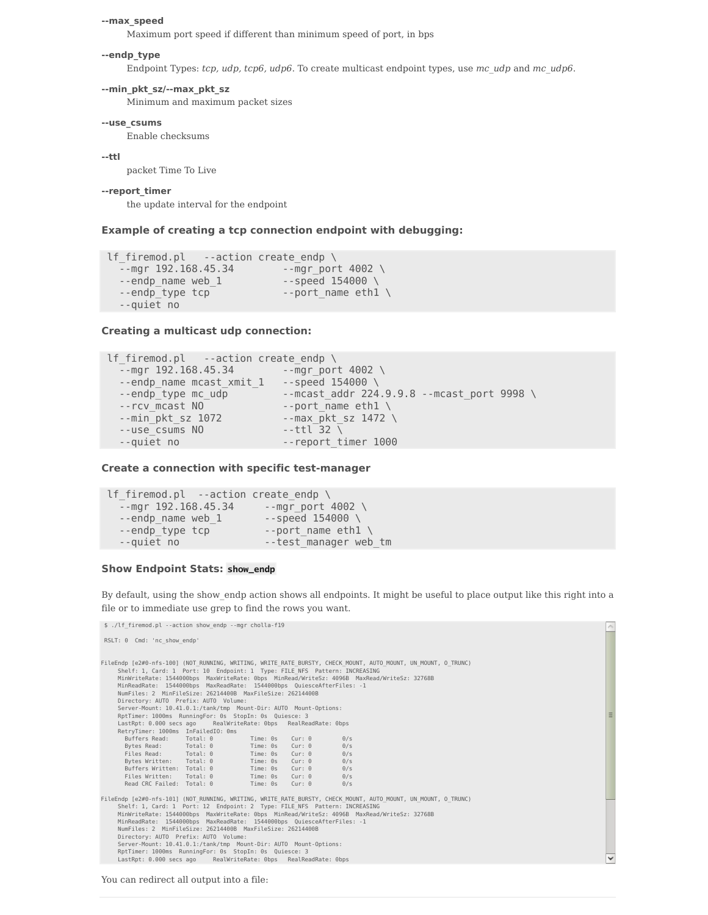**--max\_speed**

Maximum port speed if different than minimum speed of port, in bps

#### **--endp\_type**

Endpoint Types: *tcp, udp, tcp6, udp6*. To create multicast endpoint types, use *mc\_udp* and *mc\_udp6*.

#### **--min\_pkt\_sz/--max\_pkt\_sz**

Minimum and maximum packet sizes

#### **--use\_csums**

Enable checksums

#### **--ttl**

packet Time To Live

#### **--report\_timer**

the update interval for the endpoint

#### **Example of creating a tcp connection endpoint with debugging:**

```
lf firemod.pl --action create endp \setminus-mgr 192.168.45.34 --mgr port 4002
  --endp name web 1 --speed 154000 \
  --endp type tcp --port name eth1 \setminus--quiet no
```
### **Creating a multicast udp connection:**

```
lf_firemod.pl --action create_endp \
  -mgr 192.168.45.34 --mgr port 4002 \
  --endp name mcast xmit 1 --speed 154000 \
  --endp type mc udp --mcast addr 224.9.9.8 -mcast port 9998 \setminus-rcv_mcast NO --port_name eth1 \setminus--min pkt sz 1072 --max pkt sz 1472 \setminus-use_csums NO --ttl 32 \
--quiet no --report_timer 1000
```
### **Create a connection with specific test-manager**

```
lf firemod.pl --action create endp \setminus--mgr 192.168.45.34 --mgr_port 4002 \
  --endp name web 1 --speed 154000 \
  --endp type tcp --port name ethl \setminus--quiet no --test_manager web_tm
```
#### **Show Endpoint Stats: show\_endp**

By default, using the show\_endp action shows all endpoints. It might be useful to place output like this right into a file or to immediate use grep to find the rows you want.

\$ ./lf\_firemod.pl --action show\_endp --mgr cholla-f19

```
RSLT: 0 Cmd: 'nc_show_endp'
```

| FileEndp [e2#0-nfs-100] (NOT RUNNING, WRITING, WRITE RATE BURSTY, CHECK MOUNT, AUTO MOUNT, UN MOUNT, O TRUNC)<br>Shelf: 1, Card: 1 Port: 10 Endpoint: 1 Type: FILE NFS Pattern: INCREASING<br>MinWriteRate: 1544000bps MaxWriteRate: 0bps MinRead/WriteSz: 4096B MaxRead/WriteSz: 32768B<br>MinReadRate: 1544000bps MaxReadRate: 1544000bps QuiesceAfterFiles: -1<br>NumFiles: 2 MinFileSize: 26214400B MaxFileSize: 26214400B<br>Directory: AUTO Prefix: AUTO Volume:<br>Server-Mount: 10.41.0.1:/tank/tmp Mount-Dir: AUTO Mount-Options:<br>RptTimer: 1000ms RunningFor: 0s StopIn: 0s Quiesce: 3<br>LastRpt: 0.000 secs ago<br>RealWriteRate: Obps RealReadRate: Obps<br>RetryTimer: 1000ms InFailedIO: 0ms<br>Buffers Read:<br>Total: 0<br>Time: 0s<br>$Cur:$ $0$<br>0/s<br>Bytes Read: Total: 0<br>Time: 0s<br>$Cur:$ $0$<br>0/s<br>Files Read: Total: 0<br>Time: 0s<br>$Curr: \Theta$<br>0/s<br>Total: 0<br>Bytes Written:<br>Time: 0s<br>$Cur:$ $0$<br>0/s<br>Buffers Written: Total: 0<br>$Cur:$ $0$<br>Time: 0s<br>0/s<br>Files Written:<br>Total: 0<br>Time: 0s<br>$Cur:$ $0$<br>0/s<br>Read CRC Failed: Total: 0<br>Time: 0s<br>$Curr: \Theta$<br>0/s |   |  |  |  |  |  |  |  |  |
|------------------------------------------------------------------------------------------------------------------------------------------------------------------------------------------------------------------------------------------------------------------------------------------------------------------------------------------------------------------------------------------------------------------------------------------------------------------------------------------------------------------------------------------------------------------------------------------------------------------------------------------------------------------------------------------------------------------------------------------------------------------------------------------------------------------------------------------------------------------------------------------------------------------------------------------------------------------------------------------------------------------------------------------------------------------------------------------------------------------------------------------------------------------|---|--|--|--|--|--|--|--|--|
| FileEndp [e2#0-nfs-101] (NOT RUNNING, WRITING, WRITE RATE BURSTY, CHECK MOUNT, AUTO MOUNT, UN MOUNT, O TRUNC)<br>Shelf: 1, Card: 1 Port: 12 Endpoint: 2 Type: FILE NFS Pattern: INCREASING<br>MinWriteRate: 1544000bps MaxWriteRate: 0bps MinRead/WriteSz: 4096B MaxRead/WriteSz: 32768B                                                                                                                                                                                                                                                                                                                                                                                                                                                                                                                                                                                                                                                                                                                                                                                                                                                                         |   |  |  |  |  |  |  |  |  |
| MinReadRate: 1544000bps MaxReadRate: 1544000bps QuiesceAfterFiles: -1                                                                                                                                                                                                                                                                                                                                                                                                                                                                                                                                                                                                                                                                                                                                                                                                                                                                                                                                                                                                                                                                                            |   |  |  |  |  |  |  |  |  |
| NumFiles: 2 MinFileSize: 26214400B MaxFileSize: 26214400B<br>Directory: AUTO Prefix: AUTO Volume:                                                                                                                                                                                                                                                                                                                                                                                                                                                                                                                                                                                                                                                                                                                                                                                                                                                                                                                                                                                                                                                                |   |  |  |  |  |  |  |  |  |
| Server-Mount: 10.41.0.1:/tank/tmp Mount-Dir: AUTO Mount-Options:                                                                                                                                                                                                                                                                                                                                                                                                                                                                                                                                                                                                                                                                                                                                                                                                                                                                                                                                                                                                                                                                                                 |   |  |  |  |  |  |  |  |  |
| RptTimer: 1000ms RunningFor: 0s StopIn: 0s Quiesce: 3                                                                                                                                                                                                                                                                                                                                                                                                                                                                                                                                                                                                                                                                                                                                                                                                                                                                                                                                                                                                                                                                                                            |   |  |  |  |  |  |  |  |  |
| LastRpt: 0.000 secs ago RealWriteRate: 0bps RealReadRate: 0bps                                                                                                                                                                                                                                                                                                                                                                                                                                                                                                                                                                                                                                                                                                                                                                                                                                                                                                                                                                                                                                                                                                   | ↓ |  |  |  |  |  |  |  |  |

You can redirect all output into a file: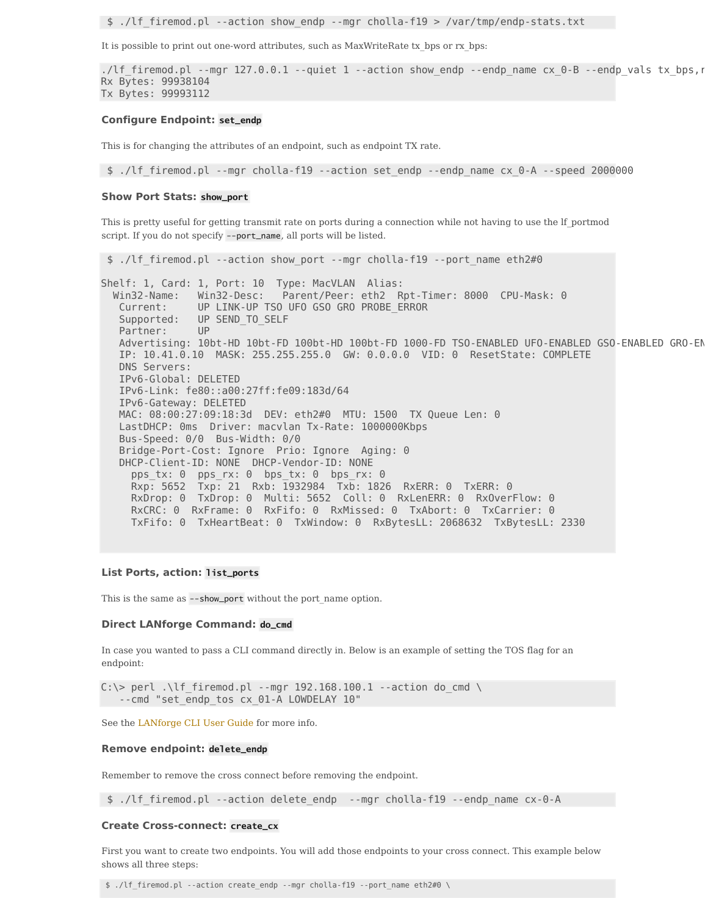\$ ./lf\_firemod.pl --action show\_endp --mgr cholla-f19 > /var/tmp/endp-stats.txt

It is possible to print out one-word attributes, such as MaxWriteRate tx bps or rx bps:

```
./lf_firemod.pl --mgr 127.0.0.1 --quiet 1 --action show_endp --endp_name cx_0-B --endp_vals tx_bps,r
Rx Bytes: 99938104
Tx Bytes: 99993112
```
#### **Configure Endpoint: set\_endp**

This is for changing the attributes of an endpoint, such as endpoint TX rate.

\$ ./lf\_firemod.pl --mgr cholla-f19 --action set\_endp --endp\_name cx\_0-A --speed 2000000

#### **Show Port Stats: show\_port**

This is pretty useful for getting transmit rate on ports during a connection while not having to use the lf\_portmod script. If you do not specify --port\_name, all ports will be listed.

\$ ./lf\_firemod.pl --action show\_port --mgr cholla-f19 --port\_name eth2#0

Shelf: 1, Card: 1, Port: 10 Type: MacVLAN Alias: Win32-Name: Win32-Desc: Parent/Peer: eth2 Rpt-Timer: 8000 CPU-Mask: 0 Current: UP LINK-UP TSO UFO GSO GRO PROBE\_ERROR Supported: UP SEND TO SELF Partner: UP Advertising: 10bt-HD 10bt-FD 100bt-HD 100bt-FD 1000-FD TSO-ENABLED UFO-ENABLED GSO-ENABLED GRO-ENABLED IP: 10.41.0.10 MASK: 255.255.255.0 GW: 0.0.0.0 VID: 0 ResetState: COMPLETE DNS Servers: IPv6-Global: DELETED IPv6-Link: fe80::a00:27ff:fe09:183d/64 IPv6-Gateway: DELETED MAC: 08:00:27:09:18:3d DEV: eth2#0 MTU: 1500 TX Queue Len: 0 LastDHCP: 0ms Driver: macvlan Tx-Rate: 1000000Kbps Bus-Speed: 0/0 Bus-Width: 0/0 Bridge-Port-Cost: Ignore Prio: Ignore Aging: 0 DHCP-Client-ID: NONE DHCP-Vendor-ID: NONE pps\_tx: 0 pps\_rx: 0 bps\_tx: 0 bps\_rx: 0 Rxp: 5652 Txp: 21 Rxb: 1932984 Txb: 1826 RxERR: 0 TxERR: 0 RxDrop: 0 TxDrop: 0 Multi: 5652 Coll: 0 RxLenERR: 0 RxOverFlow: 0 RxCRC: 0 RxFrame: 0 RxFifo: 0 RxMissed: 0 TxAbort: 0 TxCarrier: 0 TxFifo: 0 TxHeartBeat: 0 TxWindow: 0 RxBytesLL: 2068632 TxBytesLL: 2330

#### **List Ports, action: list\_ports**

This is the same as --show\_port without the port\_name option.

#### **Direct LANforge Command: do\_cmd**

In case you wanted to pass a CLI command directly in. Below is an example of setting the TOS flag for an endpoint:

C:\> perl .\lf firemod.pl --mgr 192.168.100.1 --action do cmd \ --cmd "set\_endp\_tos cx\_01-A LOWDELAY 10"

See the [LANforge](http://ctlocal/lfcli_ug.php) CLI User Guide for more info.

#### **Remove endpoint: delete\_endp**

Remember to remove the cross connect before removing the endpoint.

\$ ./lf\_firemod.pl --action delete\_endp --mgr cholla-f19 --endp\_name cx-0-A

#### **Create Cross-connect: create\_cx**

First you want to create two endpoints. You will add those endpoints to your cross connect. This example below shows all three steps:

\$ ./lf\_firemod.pl --action create\_endp --mgr cholla-f19 --port\_name eth2#0 \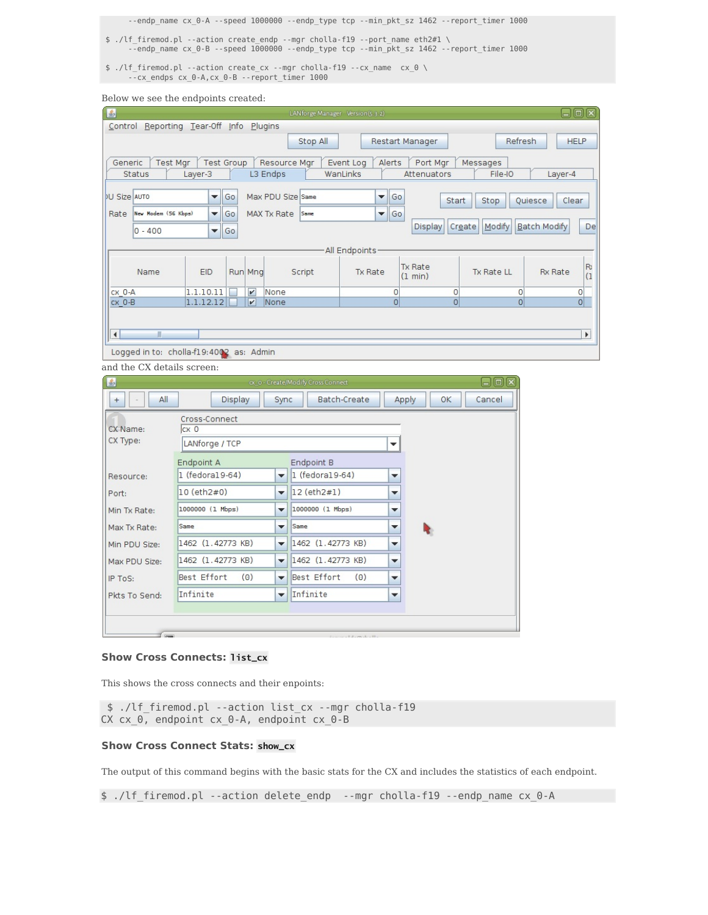--endp\_name cx\_0-A --speed 1000000 --endp\_type tcp --min\_pkt\_sz 1462 --report\_timer 1000

- \$ ./lf\_firemod.pl --action create\_endp --mgr cholla-f19 --port\_name eth2#1 \ --endp\_name cx\_0-B --speed 1000000 --endp\_type tcp --min\_pkt\_sz 1462 --report\_timer 1000
- \$ ./lf firemod.pl --action create cx --mgr cholla-f19 --cx name  $\,$  cx  $\,$  0  $\,$   $\backslash$ --cx endps cx 0-A,cx 0-B --report timer 1000

Below we see the endpoints created:

| 圖                    |                                         |                      |                   |                          |                          |          | LANforge Manager Version (5.3.2) |                                             |                |                         |                |                     |         | 日回図                                     |  |
|----------------------|-----------------------------------------|----------------------|-------------------|--------------------------|--------------------------|----------|----------------------------------|---------------------------------------------|----------------|-------------------------|----------------|---------------------|---------|-----------------------------------------|--|
| Control              | Reporting Tear-Off Info                 |                      |                   |                          | Plugins                  |          |                                  |                                             |                |                         |                |                     |         |                                         |  |
|                      |                                         |                      |                   |                          |                          | Stop All |                                  |                                             |                | Restart Manager         |                |                     | Refresh | <b>HELP</b>                             |  |
| Generic              | <b>Test Mar</b><br>Status               | Layer-3              | <b>Test Group</b> |                          | Resource Mgr<br>L3 Endps |          | Event Log<br>WanLinks            |                                             | Alerts         | Port Mar<br>Attenuators |                | Messages<br>File-IO |         | Layer-4                                 |  |
| <b>DU Size AUTO</b>  |                                         | $\blacktriangledown$ | Go                |                          | Max PDU Size Same        |          |                                  | $\overline{\phantom{a}}$                    | Go             |                         | Start          | Stop                | Quiesce | Clear                                   |  |
| Rate                 | New Modem (56 Kbps)                     | $\blacksquare$       | Go                |                          | MAX Tx Rate              | Same     |                                  | $\overline{\phantom{a}}$                    | Go             |                         |                |                     |         |                                         |  |
|                      | $0 - 400$<br>Go<br>$\blacktriangledown$ |                      |                   |                          |                          |          |                                  |                                             | <b>Display</b> | Create                  | Modify         | <b>Batch Modify</b> |         | De                                      |  |
|                      | All Endpoints                           |                      |                   |                          |                          |          |                                  |                                             |                |                         |                |                     |         |                                         |  |
| <b>EID</b><br>Name   |                                         |                      |                   | Run Mng<br>Script        |                          |          |                                  | <b>Tx Rate</b><br><b>Tx Rate</b><br>(1 min) |                |                         |                | <b>Tx Rate LL</b>   |         | R <sub>0</sub><br><b>Rx Rate</b><br>(1) |  |
| CX O-A               |                                         | 1.1.10.11            |                   | $\boldsymbol{\nu}$       | None                     |          |                                  |                                             | 0              |                         | 0              | 0                   |         | 0                                       |  |
| CX O-B               |                                         | 1.1.12.12            |                   | $\vert \mathbf{v} \vert$ | None                     |          |                                  |                                             | $\overline{0}$ |                         | $\overline{0}$ | $\overline{0}$      |         | $\overline{0}$                          |  |
|                      |                                         |                      |                   |                          |                          |          |                                  |                                             |                |                         |                |                     |         |                                         |  |
| $\blacktriangleleft$ | $\mathbb{I}$                            |                      |                   |                          |                          |          |                                  |                                             |                |                         |                |                     |         | Þ.                                      |  |
|                      | Logged in to: cholla-f19:4002 as: Admin |                      |                   |                          |                          |          |                                  |                                             |                |                         |                |                     |         |                                         |  |

and the CX details screen:

| 图                     | $\boxdot$ ok<br>ox o - Create/Modify Cross Connect                                             |                   |                          |             |                                 |                          |       |    |        |  |
|-----------------------|------------------------------------------------------------------------------------------------|-------------------|--------------------------|-------------|---------------------------------|--------------------------|-------|----|--------|--|
| All<br>$+$            | Display<br>Batch-Create<br>Sync                                                                |                   |                          |             |                                 |                          | Apply | OK | Cancel |  |
| CX Name:<br>CX Type:  | Cross-Connect<br>CX 0<br>LANforge / TCP                                                        |                   |                          | ▼           |                                 |                          |       |    |        |  |
| Resource:             | Endpoint A<br>1 (fedora19-64)                                                                  |                   | $\overline{\phantom{a}}$ | Endpoint B  | $1$ (fedoral 9-64)              | $\overline{\phantom{a}}$ |       |    |        |  |
| Port:<br>Min Tx Rate: | 10 (eth2#0)<br>12 (eth2#1)<br>$\overline{\phantom{a}}$<br>1000000 (1 Mbps)<br>1000000 (1 Mbps) |                   |                          |             | ▼<br>$\overline{\phantom{a}}$   |                          |       |    |        |  |
| Max Tx Rate:          | $\overline{\phantom{a}}$<br>Same<br>$\overline{\phantom{a}}$                                   |                   |                          | Same        |                                 | $\overline{\phantom{a}}$ |       |    |        |  |
| Min PDU Size:         |                                                                                                | 1462 (1.42773 KB) | $\overline{\phantom{a}}$ |             | 1462 (1.42773 KB)               | $\overline{\phantom{a}}$ |       |    |        |  |
| Max PDU Size:         |                                                                                                | 1462 (1.42773 KB) | $\overline{\mathbf{v}}$  |             | 1462 (1.42773 KB)               | $\overline{\phantom{a}}$ |       |    |        |  |
| IP ToS:               | Best Effort                                                                                    | (0)               | $\mathbf{v}$             | Best Effort | (0)                             | $\overline{\phantom{a}}$ |       |    |        |  |
| Pkts To Send:         | Infinite                                                                                       |                   | $\overline{\phantom{a}}$ | Infinite    |                                 | $\overline{\phantom{a}}$ |       |    |        |  |
|                       |                                                                                                |                   |                          |             |                                 |                          |       |    |        |  |
| $\sqrt{2}$            |                                                                                                |                   |                          |             | $1 - 1$ $1 - 1$ $1 - 1$ $1 - 1$ |                          |       |    |        |  |

#### **Show Cross Connects: list\_cx**

This shows the cross connects and their enpoints:

```
$ ./lf_firemod.pl --action list_cx --mgr cholla-f19
CX cx_0, endpoint cx_0-A, endpoint cx_0-B
```
## **Show Cross Connect Stats: show\_cx**

The output of this command begins with the basic stats for the CX and includes the statistics of each endpoint.

\$ ./lf\_firemod.pl --action delete\_endp --mgr cholla-f19 --endp\_name cx\_0-A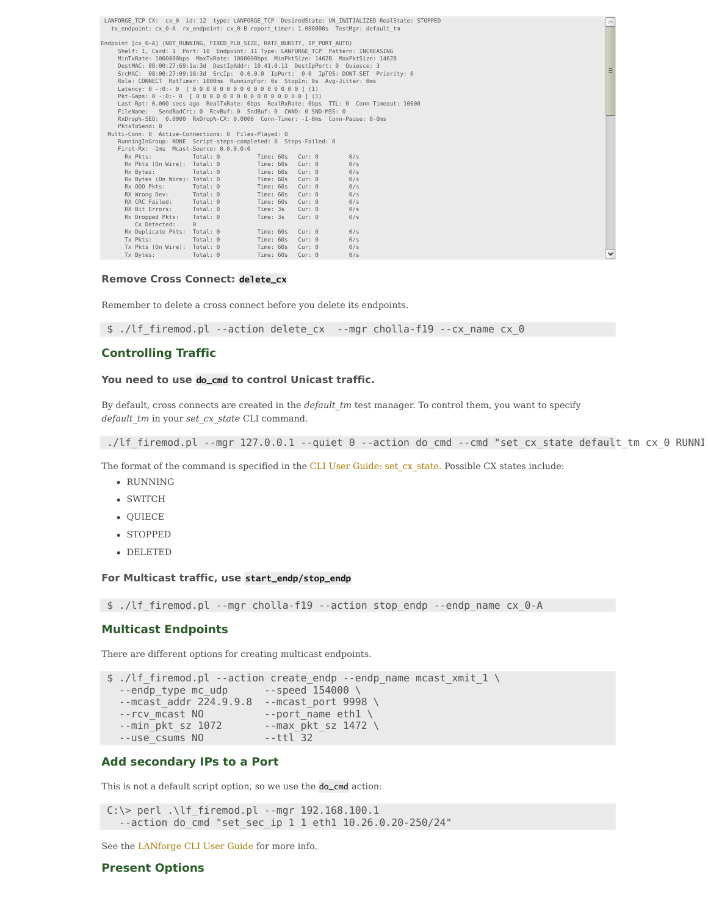|                                                                                     |                                                                                                                                                                                                                                                                                                                                                                                                                                                                                                                      |                  |               | LANFORGE TCP CX: cx 0 id: 12 type: LANFORGE TCP DesiredState: UN INITIALIZED RealState: STOPPED                                                                           | À |
|-------------------------------------------------------------------------------------|----------------------------------------------------------------------------------------------------------------------------------------------------------------------------------------------------------------------------------------------------------------------------------------------------------------------------------------------------------------------------------------------------------------------------------------------------------------------------------------------------------------------|------------------|---------------|---------------------------------------------------------------------------------------------------------------------------------------------------------------------------|---|
| tx endpoint: cx 0-A rx endpoint: cx 0-B report timer: 1.000000s TestMqr: default tm |                                                                                                                                                                                                                                                                                                                                                                                                                                                                                                                      |                  |               |                                                                                                                                                                           |   |
| Endpoint [cx 0-A] (NOT RUNNING, FIXED PLD SIZE, RATE BURSTY, IP PORT AUTO)          | Shelf: 1, Card: 1 Port: 10 Endpoint: 11 Type: LANFORGE TCP Pattern: INCREASING<br>MinTxRate: 1000000bps MaxTxRate: 1000000bps MinPktSize: 1462B MaxPktSize: 1462B<br>DestMAC: 08:00:27:69:1a:3d DestIpAddr: 10.41.0.11 DestIpPort: 0 Quiesce: 3<br>Role: CONNECT RptTimer: 1000ms RunningFor: 0s StopIn: 0s Avg-Jitter: 0ms<br>Latency: $0 - 0.01 - 0$ $0.000000000000000001$ (1)<br>Pkt-Gaps: 0 -: 0: - 0 [ 0 0 0 0 0 0 0 0 0 0 0 0 0 0 0 0 1 (1)<br>FileName: SendBadCrc: 0 RcvBuf: 0 SndBuf: 0 CWND: 0 SND-MSS: 0 |                  |               | SrcMAC: 08:00:27:09:18:3d SrcIp: 0.0.0.0 IpPort: 0-0 IpTOS: DONT-SET Priority: 0<br>Last-Rpt: 0.000 secs ago RealTxRate: 0bps RealRxRate: 0bps TTL: 0 Conn-Timeout: 10000 |   |
|                                                                                     | RxDrop%-SE0: 0.0000 RxDrop%-CX: 0.0000 Conn-Timer: -1-0ms Conn-Pause: 0-0ms                                                                                                                                                                                                                                                                                                                                                                                                                                          |                  |               |                                                                                                                                                                           |   |
| PktsToSend: 0<br>Multi-Conn: 0 Active-Connections: 0 Files-Played: 0                |                                                                                                                                                                                                                                                                                                                                                                                                                                                                                                                      |                  |               |                                                                                                                                                                           |   |
|                                                                                     | RunningInGroup: NONE Script-steps-completed: 0 Steps-Failed: 0                                                                                                                                                                                                                                                                                                                                                                                                                                                       |                  |               |                                                                                                                                                                           |   |
|                                                                                     | First-Rx: -1ms Mcast-Source: 0.0.0.0:0                                                                                                                                                                                                                                                                                                                                                                                                                                                                               |                  |               |                                                                                                                                                                           |   |
| Rx Pkts:                                                                            | $Total: 0$                                                                                                                                                                                                                                                                                                                                                                                                                                                                                                           | Time: 60s        | $Cur:$ $0$    | 0/s                                                                                                                                                                       |   |
| Rx Pkts (On Wire): Total: 0                                                         |                                                                                                                                                                                                                                                                                                                                                                                                                                                                                                                      | Time: 60s Cur: 0 |               | 0/s                                                                                                                                                                       |   |
| Rx Bytes:                                                                           | Total: 0                                                                                                                                                                                                                                                                                                                                                                                                                                                                                                             | Time: 60s Cur: 0 |               | 0/s                                                                                                                                                                       |   |
| Rx Bytes (On Wire): Total: 0                                                        |                                                                                                                                                                                                                                                                                                                                                                                                                                                                                                                      | Time: 60s        | $Cur: \theta$ | 0/s                                                                                                                                                                       |   |
| Rx 000 Pkts:                                                                        | Total: 0                                                                                                                                                                                                                                                                                                                                                                                                                                                                                                             | Time: 60s        | $Cur:$ $0$    | 0/s                                                                                                                                                                       |   |
| RX Wrong Dev: Total: 0                                                              |                                                                                                                                                                                                                                                                                                                                                                                                                                                                                                                      | Time: 60s        | $Cur: \theta$ | 0/s                                                                                                                                                                       |   |
| RX CRC Failed:                                                                      | Total: 0                                                                                                                                                                                                                                                                                                                                                                                                                                                                                                             | Time: 60s        | Cur: 0        | 0/s                                                                                                                                                                       |   |
| RX Bit Errors:                                                                      | Total: 0                                                                                                                                                                                                                                                                                                                                                                                                                                                                                                             | Time: 3s         | $Cur:$ $0$    | 0/s                                                                                                                                                                       |   |
| Rx Dropped Pkts:<br>Cx Detected:                                                    | Total: 0<br>$\Theta$                                                                                                                                                                                                                                                                                                                                                                                                                                                                                                 | Time: 3s         | $Cur:$ $0$    | 0/s                                                                                                                                                                       |   |
| Rx Duplicate Pkts: Total: 0                                                         |                                                                                                                                                                                                                                                                                                                                                                                                                                                                                                                      | Time: 60s        | $Cur:$ $0$    | 0/s                                                                                                                                                                       |   |
| Tx Pkts:                                                                            | Total: 0                                                                                                                                                                                                                                                                                                                                                                                                                                                                                                             | Time: 60s        | $Cur:$ $0$    | 0/s                                                                                                                                                                       |   |
| Tx Pkts (On Wire): Total: 0                                                         |                                                                                                                                                                                                                                                                                                                                                                                                                                                                                                                      | Time: 60s        | $Cur:$ $0$    | 0/s                                                                                                                                                                       |   |
| Tx Bytes:                                                                           | Total: 0                                                                                                                                                                                                                                                                                                                                                                                                                                                                                                             | Time: 60s        | $Cur:$ $0$    | 0/s                                                                                                                                                                       |   |
|                                                                                     |                                                                                                                                                                                                                                                                                                                                                                                                                                                                                                                      |                  |               |                                                                                                                                                                           |   |

# Tx Failed Bytes: Total: 0 Time: 60s Cur: 0 0/s Conn Established: Total: 0 Time: 30s Cur: 0 0/s **Remove Cross Connect: delete\_cx**

Remember to delete a cross connect before you delete its endpoints.

\$ ./lf\_firemod.pl --action delete\_cx --mgr cholla-f19 --cx\_name cx\_0

#### **Controlling Traffic**  $\Box$

# You need to use do\_cmd to control Unicast traffic.

By default, cross connects are created in the *default tm* test manager. To control them, you want to specify RunningInGroup: NONE Script-steps-completed: 0 Steps-Failed: 0 First-Rx: -1ms Mcast-Source: 0.0.0.0:0 *default\_tm* in your *set\_cx\_state* CLI command.

./lf firemod.pl --mgr 127.0.0.1 --quiet 0 --action do cmd --cmd "set cx state default tm cx 0 RUNNI

The format of the command is specified in the CLI User Guide: set cx\_state. Possible CX states include:

- RUNNING THE ERRORS: TOTAL: 0 TIME: 35 CURE ERRORS: 2012
- SWITCH  $\mathcal{Q}_{\text{VII}}$
- $\text{QUECE}$
- STOPPED: Total: 0 Time: 3s Curie 0, 0 0/s Curie 0, 0 0/s Curie 0, 0/s Curie 0, 0/s Curie 0, 0/s Curie 0, 0/s Curie 0, 0/s Curie 0, 0/s Curie 0, 0/s Curie 0, 0/s Curie 0, 0/s Curie 0, 0/s Curie 0, 0/s Curie 0, 0/s Curie 0,
- DELETED: The state  $\mathcal{D}$ Conn Established: Total: 0 Time: 30s Cur: 0 0/s

# Conn Timeouts: Total: 0 Time: 30s Cur: 0 0/s **For Multicast traffic, use start\_endp/stop\_endp**

\$ ./lf\_firemod.pl --mgr cholla-f19 --action stop\_endp --endp\_name cx\_0-A

# **Multicast Endpoints**

There are different options for creating multicast endpoints.

```
$ ./lf_firemod.pl --action create_endp --endp_name mcast_xmit_1 \
  --endp type mc udp --speed 154000 \
  -mcast addr 224.9.9.8 --mcast port 9998 \
  -rcv_mcast N0 --port_name ethl \
  --min_pkt_sz 1072 --max_pkt_sz 1472 \
 --use_csums NO --ttl 32
```
## **Add secondary IPs to a Port**

This is not a default script option, so we use the do\_cmd action:

```
C:\rangle perl .\lf firemod.pl --mgr 192.168.100.1
  --action do_cmd "set_sec_ip 1 1 eth1 10.26.0.20-250/24"
```
See the [LANforge](http://ctlocal/lfcli_ug.php#set_sec_ip) CLI User Guide for more info.

**Present Options**